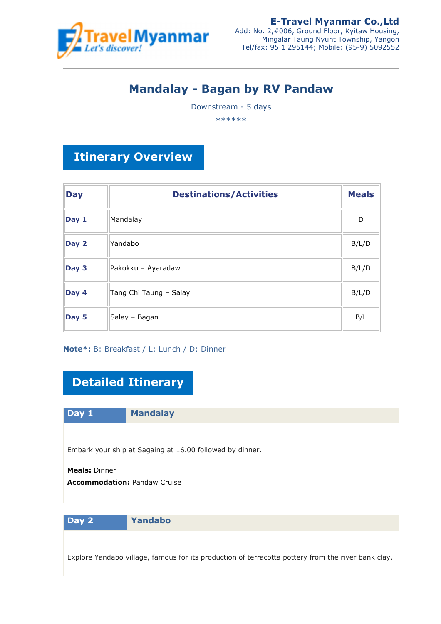

# **Mandalay - Bagan by RV Pandaw**

Downstream - 5 days

\*\*\*\*\*\*

# **Itinerary Overview**

| <b>Day</b> | <b>Destinations/Activities</b> | <b>Meals</b> |
|------------|--------------------------------|--------------|
| Day 1      | Mandalay                       | D            |
| Day 2      | Yandabo                        | B/L/D        |
| Day 3      | Pakokku - Ayaradaw             | B/L/D        |
| Day 4      | Tang Chi Taung - Salay         | B/L/D        |
| Day 5      | Salay - Bagan                  | B/L          |

## **Note\*:** B: Breakfast / L: Lunch / D: Dinner

# **Detailed Itinerary**

**Day 1 Mandalay**

Embark your ship at Sagaing at 16.00 followed by dinner.

**Meals:** Dinner **Accommodation: Pandaw Cruise** 

**Day 2 Yandabo**

Explore Yandabo village, famous for its production of terracotta pottery from the river bank clay.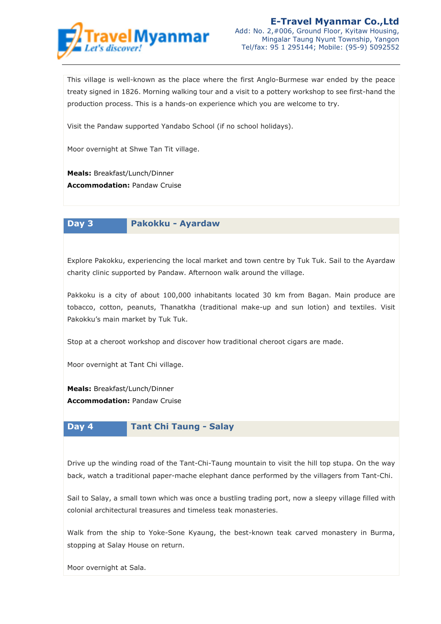

This village is well-known as the place where the first Anglo-Burmese war ended by the peace treaty signed in 1826. Morning walking tour and a visit to a pottery workshop to see first-hand the production process. This is a hands-on experience which you are welcome to try.

Visit the Pandaw supported Yandabo School (if no school holidays).

Moor overnight at Shwe Tan Tit village.

**Meals:** Breakfast/Lunch/Dinner **Accommodation: Pandaw Cruise** 

**Day 3 Pakokku - Ayardaw**

Explore Pakokku, experiencing the local market and town centre by Tuk Tuk. Sail to the Ayardaw charity clinic supported by Pandaw. Afternoon walk around the village.

Pakkoku is a city of about 100,000 inhabitants located 30 km from Bagan. Main produce are tobacco, cotton, peanuts, Thanatkha (traditional make-up and sun lotion) and textiles. Visit Pakokku's main market by Tuk Tuk.

Stop at a cheroot workshop and discover how traditional cheroot cigars are made.

Moor overnight at Tant Chi village.

**Meals:** Breakfast/Lunch/Dinner **Accommodation: Pandaw Cruise** 



#### **Day 4 Tant Chi Taung - Salay**

Drive up the winding road of the Tant-Chi-Taung mountain to visit the hill top stupa. On the way back, watch a traditional paper-mache elephant dance performed by the villagers from Tant-Chi.

Sail to Salay, a small town which was once a bustling trading port, now a sleepy village filled with colonial architectural treasures and timeless teak monasteries.

Walk from the ship to Yoke-Sone Kyaung, the best-known teak carved monastery in Burma, stopping at Salay House on return.

Moor overnight at Sala.